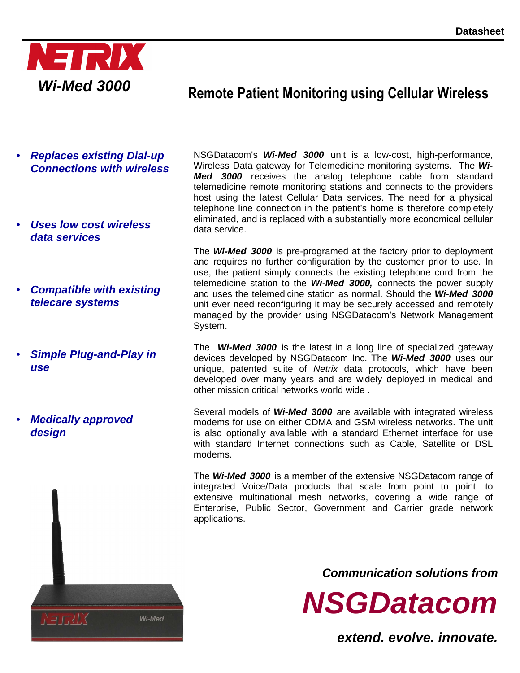

# **Remote Patient Monitoring using Cellular Wireless**

- **Replaces existing Dial-up Connections with wireless**
- **Uses low cost wireless data services**
- **Compatible with existing telecare systems**
- **Simple Plug-and-Play in use**
- **Medically approved design**

Wi-Med

NSGDatacom's **Wi-Med 3000** unit is a low-cost, high-performance, Wireless Data gateway for Telemedicine monitoring systems. The **Wi-Med 3000** receives the analog telephone cable from standard telemedicine remote monitoring stations and connects to the providers host using the latest Cellular Data services. The need for a physical telephone line connection in the patient's home is therefore completely eliminated, and is replaced with a substantially more economical cellular data service.

The **Wi-Med 3000** is pre-programed at the factory prior to deployment and requires no further configuration by the customer prior to use. In use, the patient simply connects the existing telephone cord from the telemedicine station to the **Wi-Med 3000,** connects the power supply and uses the telemedicine station as normal. Should the **Wi-Med 3000**  unit ever need reconfiguring it may be securely accessed and remotely managed by the provider using NSGDatacom's Network Management System.

The **Wi-Med 3000** is the latest in a long line of specialized gateway devices developed by NSGDatacom Inc. The **Wi-Med 3000** uses our unique, patented suite of Netrix data protocols, which have been developed over many years and are widely deployed in medical and other mission critical networks world wide .

Several models of **Wi-Med 3000** are available with integrated wireless modems for use on either CDMA and GSM wireless networks. The unit is also optionally available with a standard Ethernet interface for use with standard Internet connections such as Cable, Satellite or DSL modems.

The **Wi-Med 3000** is a member of the extensive NSGDatacom range of integrated Voice/Data products that scale from point to point, to extensive multinational mesh networks, covering a wide range of Enterprise, Public Sector, Government and Carrier grade network applications.

**Communication solutions from** 

**NSGDatacom** 

**extend. evolve. innovate.**